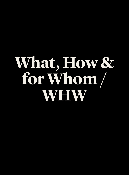## What, How & for Whom/ WHW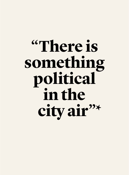## **"There is something political in the city air"\***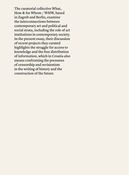The curatorial collective What, How & for Whom / WHW, based in Zagreb and Berlin, examine the interconnections between contemporary art and political and social strata, including the role of art institutions in contemporary society. In the present essay, their discussion of recent projects they curated highlights the struggle for access to knowledge and the free distribution of information, which in Croatia also means confronting the pressures of censorship and revisionism in the writing of history and the construction of the future.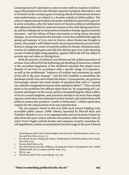Contemporary art's attempts to come to terms with its evasions in delivering on the promise of its own intrinsic capacity to propose alternatives, and to do better in the constant game of staying ahead of institutional closures and marketization, are related to a broader malady in leftist politics. The crisis of organizational models and modes of political action feels especially acute nowadays, after the latest waves of massive political mobilization and upheaval embodied in such movements as the Arab Spring and Occupy and the widespread social protests in Southern Europe against austerity measures – and the failure of these movements to bring about structural changes. As we witnessed in the dramatic events that unfolded through the spring and summer of 2015, even in Greece, where Syriza was brought to power, the people's will behind newly elected governments proved insufficient to change the course of austerity politics in Europe. Simultaneously, a series of conditional gains and effective defeats gave rise to the alarming ascent of radical right-wing populism, against which the left has failed to provide any real vision or driving force.

Both the practice of political articulation and the political practices of art have been affected by the hollowing and disabling of democracy related to the ascendant hegemony of the neoliberal rationale that shapes every domain of our lives in accordance with a specific image of economics,**<sup>1</sup>** as well as the problematic "embrace of localism and autonomy by much of the left as the pure strategy"**<sup>2</sup>** and the left's inability to destabilize the dominant world-view and reclaim the future.**<sup>3</sup>** Consequently, art practices increasingly venture into novel modes of operation that seek to "expand our collective imagination beyond what capitalism allows".**4** They not only point to the problems but address them head on. By negotiating art's autonomy and impact on the social, and by conceptualizing the whole edifice of art as a social symptom, such practices attempt to do more than simply squeeze novel ideas into exhausted artistic formats and endow them with political content that produces "marks of distinction",**<sup>5</sup>** which capital then exploits for the enhancement of its own reproduction.

The two projects visited in this text both work toward building truly accessible public spaces. *Public Library*, launched by Marcell Mars and Tomislav Medak in 2012, is an ongoing media and social project based on ideas from the open-source software movement, while *Autonomy Cube*, by artist Trevor Paglen and the hacker and computer security researcher Jacob Appelbaum, centres on anonymized internet usage in the post–Edward

## **"There is something political in the city air" 289**

<sup>\*</sup> David Harvey, *Rebel Cities: From the Right to the City to the Urban Revolution*, Verso, London and New York, 2012, p. 117.

<sup>1</sup> See Wendy Brown, *Undoing the Demos: Neoliberalism's Stealth Revolution*, Zone books, New York, 2015.

<sup>2</sup> Harvey, *Rebel Cities*, p. 83.

<sup>3</sup> See Nick Srnicek and Alex Williams, *Inventing the Future: Postcapitalism and a World Without Work*, Verso, London and New York, 2015.

<sup>4</sup> Ibid., p. 495.

<sup>5</sup> See Harvey, *Rebel Cities*, especially pp. 103–109.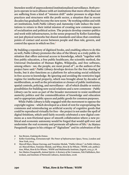Snowden world of unprecedented institutionalized surveillance. Both projects operate in tacit alliance with art institutions that more often than not are suffering from a kind of "mission drift" under pressure to align their practices and structures with the profit sector, a situation that in recent decades has gradually become the new norm.**6** By working within and with art institutions, both *Public Library* and *Autonomy Cube* induce the institutions to return to their initial mission of creating new common spaces of socialization and political action. The projects develop counter-publics and work with infrastructures, in the sense proposed by Keller Easterling: not just physical networks but shared standards and ideas that constitute points of contact and access between people and thus rule, govern, and control the spaces in which we live.**<sup>7</sup>**

By building a repository of digitized books, and enabling others to do this as well, *Public Library* promotes the idea of the library as a truly public institution that offers universal access to knowledge, which "together with free public education, a free public healthcare, the scientific method, the Universal Declaration of Human Rights, Wikipedia, and free software, among others – we, the people, are most proud of ", as the authors of the project have said.**<sup>8</sup>** *Public Library* develops devices for the free sharing of books, but it also functions as a platform for advocating social solidarity in free access to knowledge. By ignoring and avoiding the restrictive legal regime for intellectual property, which was brought about by decades of neoliberalism, as well as the privatization or closure of public institutions, spatial controls, policing, and surveillance – all of which disable or restrict possibilities for building new social relations and a new commons – *Public Library* can be seen as part of the broader movement to resist neoliberal austerity politics and the commodification of knowledge and education and to appropriate public spaces and public goods for common purposes.

While *Public Library* is fully engaged with the movement to oppose the copyright regime – which developed as a kind of rent for expropriating the commons and reintroducing an artificial scarcity of cognitive goods that could be reproduced virtually for free – the project is not under the spell of digital fetishism, which until fairly recently celebrated a new digital commons as a non-frictional space of smooth collaboration where a new political and economic autonomy would be forged that would spill over and undermine the real economy and permeate all spheres of life.**9** As Matteo Pasquinelli argues in his critique of "digitalism" and its celebration of the

- 6 See Brown, *Undoing the Demos*.
- 7 Keller Easterling, *Extrastatecraft: The Power of Infrastructure Space*, Verso, London and New York, 2014.
- 8 Marcell Mars, Manar Zarroug, and Tomislav Medak, "Public Library", in *Public Library*, ed. Marcell Mars, Tomislav Medak, and What, How & for Whom / WHW, exh. publication, What, How & for Whom / WHW and Multimedia Institute, Zagreb, 2015, p. 78.
- 9 See Matteo Pasquinelli, *Animal Spirits: A Bestiary of the Commons*, NAi Publishers, Rotterdam, and Institute of Network Cultures, Amsterdam, 2008.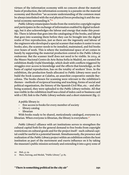virtues of the information economy with no concern about the material basis of production, the information economy is a parasite on the material economy and therefore "an accurate understanding of the common must be always interlinked with the real physical forces producing it and the material economy surrounding it."**<sup>10</sup>**

*Public Library* emancipates books from the restrictive copyright regime and participates in the exchange of information enabled by digital technology, but it also acknowledges the labour and energy that make this possible. There is labour that goes into the cataloguing of the books, and labour that goes into scanning them before they can be brought into the digital realm of free reproduction, just as there are the ingenuity and labour of the engineers who developed a special scanner that makes it easier to scan books; also, the scanner needs to be installed, maintained, and fed books over hours of work. This is where the institutional space of art comes in handy by supporting the material production central to the *Public Library* endeavour. But the scanner itself does not need to be visible. In 2014, at the Museo Nacional Centro de Arte Reina Sofía in Madrid, we curated the exhibition *Really Useful Knowledge*, which dealt with conflicts triggered by struggles over access to knowledge and the effects that knowledge, as the basis of capital reproduction, has on the totality of workers' lives. In the exhibition, the production funds allocated to *Public Library* were used to build the book scanner at Calafou, an anarchist cooperative outside Barcelona. The books chosen for scanning were relevant to the exhibition's themes – methods of reciprocal learning and teaching, forms of social and political organization, the history of the Spanish Civil War, etc. – and after being scanned, they were uploaded to the *Public Library* website. All that was visible in the exhibition itself was a kind of index card or business card with a URL link to the *Public Library* website and a short statement (fig. 1):

A public library is:

- free access to books for every member of society
- library catalog
- librarian

With books ready to be shared, meticulously cataloged, everyone is a librarian. When everyone is librarian, the library is everywhere.**<sup>11</sup>**

*Public Library's* alliance with art institutions serves to strengthen the cultural capital both for the general demand to free books from copyright restrictions on cultural goods and for the project itself – such cultural capital could be useful in a potential lawsuit. Simultaneously, the presence and realization of the *Public Library* project within an exhibition enlists the host institution as part of the movement and exerts influence on it by taking the museum's public mission seriously and extending it into a grey zone of

<sup>10</sup> Ibid., p. 29.

<sup>11</sup> Mars, Zarroug, and Medak, "Public Library", p. 85.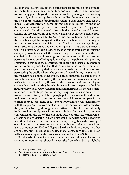questionable legality. The defence of the project becomes possible by making the traditional claim of the "autonomy" of art, which is not supposed to assert any power beyond the museum walls. By taking art's autonomy at its word, and by testing the truth of the liberal-democratic claim that the field of art is a field of unlimited freedom, *Public Library* engages in a kind of "overidentification" game, or what Keller Easterling, writing about the expanded activist repertoire in infrastructure space, calls "exaggerated compliance".**12** Should the need arise, as in the case of a potential lawsuit against the project, claims of autonomy and artistic freedom create a protective shroud of untouchability. And in this game of liberating books from the parochial capitalist imagination that restricts their free circulation, the institution becomes a complicit partner. The long-acknowledged insight that institutions embrace and co-opt critique is, in this particular case, a win-win situation, as *Public Library* uses the public status of the museum as a springboard to establish the basic message of free access and the free circulation of books and knowledge as common sense, while the museum performs its mission of bringing knowledge to the public and supporting creativity, in this case the reworking, rebuilding and reuse of technology for the common good. The fact that the institution is not naive but complicit produces a synergy that enhances potentialities for influencing and permeating the public sphere. The gesture of not exhibiting the scanner in the museum has, among other things, a practical purpose, as more books would be scanned voluntarily by the members of the anarchist commune in Calafou than would be by the overworked museum staff, and employing somebody to do this during the exhibition would be too expensive (and the mantra of *cuts, cuts, cuts* would render negotiation futile). If there is a flirtatious nod to the strategic game of not exposing too much, it is directed less toward the watchful eyes of the copyright police than toward the exhibition regime of contemporary art group shows in which works compete for attention, the biggest scarcity of all. *Public Library* flatly rejects identification with the object "our beloved bookscanner" (as the scanner is described on the project website**13**), although it is an attractive object that could easily be featured as a sculpture within the exhibition. But its efficacy and use come first, as is also true of the enigmatic business card–like leaflet, which attracts people to visit the *Public Library* website and use books, not only to read them but also to add books to the library: doing this in the privacy of one's home on one's own computer is certainly more effective than doing it on a computer provided and displayed in the exhibition among the other art objects, films, installations, texts, shops, cafés, corridors, exhibition halls, elevators, signs, and crowds in a museum like Reina Sofía.

For the exhibition to include a scanner that was unlikely to be used or a computer monitor that showed the website from which books might be

<sup>12</sup> Easterling, *Extrastatecraft*, p. 492.

<sup>13</sup> See https://www.memoryoftheworld.org/blog/2012/10/28/our-belovedbookscanner-2/ (accessed July 4, 2016).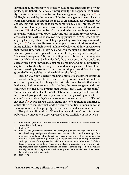downloaded, but probably not read, would be the embodiment of what philosopher Robert Pfaller calls "interpassivity", the appearance of activity or a stand-in for it that in fact replaces any genuine engagement.**14** For Pfaller, interpassivity designates a flight from engagement, a misplaced libidinal investment that under the mask of enjoyment hides aversion to an activity that one is supposed to enjoy, or more precisely: "Interpassivity is the creation of a compromise between cultural interests and latent cultural aversion."**15** Pfaller's examples of participation in an enjoyable process that is actually loathed include book collecting and the frantic photocopying of articles in libraries (his book was originally published in 2002, when photocopying had not yet been completely replaced by downloading, bookmarking, etc.).**16** But he also discusses contemporary art exhibitions as sites of interpassivity, with their overabundance of objects and time-based works that require time that nobody has, and with the figure of the curator on whom enjoyment is displaced – the latter, he says, is a good example of "delegated enjoyment". By not providing the exhibition with a computer from which books can be downloaded, the project ensures that books are seen as vehicles of knowledge acquired by reading and not as immaterial capital to be frantically exchanged; the undeniable pleasure of downloading and hoarding books is, after all, just one step removed from the playground of interpassivity that the exhibition site (also) is.

But *Public Library* is hardly making a moralistic statement about the virtues of reading, nor does it believe that ignorance (such as could be overcome by reading the library's books) is the only obstacle that stands in the way of ultimate emancipation. Rather, the project engages with, and contributes to, the social practice that David Harvey calls "commoning": "an unstable and malleable social relation between a particular self-defined social group and those aspects of its actually existing or yet-to-becreated social and/or physical environment deemed crucial to its life and livelihood".**<sup>17</sup>** *Public Library* works on the basis of commoning and tries to enlist others to join it, which adds a distinctly political dimension to the sabotage of intellectual property revenues and capital accumulation.

The political dimension of *Public Library* and the effort to form and publicize the movement were expressed more explicitly in the *Public Li-*

- 14 Robert Pfaller, *On the Pleasure Principle in Culture: Illusions Without Owners*, Verso, London and New York, 2014.
- 15 Ibid., p. 76.
- 16 Pfaller's book, which first appeared in German, was published in English only in 2014. His ideas have gained greater relevance over time, not only as the shortcomings of the immensely popular social media activism became apparent – where, as many critics have noted, participation in political organizing and the articulation of political tasks and agendas are often replaced by a click on an icon – but also because of Pfaller's broader argument about the self-deception at play in interpassivity and its role in eliciting enjoyment from austerity measures and other calamities imposed on the welfare state by the neoliberal regime, which since early 2000 has exceeded even the most sober (and pessimistic) expectations.

17 Ibid., p. 73.

## **"There is something political in the city air" 293**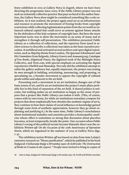*brary* exhibition in 2015 at Gallery Nova in Zagreb, where we have been directing the programme since 2003. If the *Public Library* project was not such an eminently collective practice that pays no heed to the author function, the Gallery Nova show might be considered something like a solo exhibition. As it was realized, the project again used art as an infrastructure and resource to promote the movement of freeing books from copyright restrictions while collecting legitimization points from the art world as enhanced cultural capital that could serve as armour against future attacks by the defenders of the holy scripture of copyright laws. But here the more important tactic was to show the movement as an army of many and to strengthen it through self-presentation. The exhibition presented *Public Library* as a collection of collections, and the repertory form (used in archive science to describe a collection) was taken as the basic narrative procedure. It mobilized and activated several archives and open digital repositories, such as *MayDay Rooms* from London, *The Ignorant Schoolmaster and His Committees* from Belgrade, *Library Genesis* and *Aaaaaarg.org*, *Catalogue of Free Books*, *(Digitized) Praxis*, the digitized work of the Midnight Notes Collective, and *Textz.com*, with special emphasis on activating the digital repositories *UbuWeb* and *Monoskop*. Not only did the exhibition attempt to enlist the gallery audience but, equally important, the project was testing its own strength in building, articulating, announcing, and proposing, or speculating on, a broader movement to oppose the copyright of cultural goods within and adjacent to the art field.

Presenting such a movement in an art institution changes one of the basic tenets of art, and for an art institution the project's main allure probably lies in this kind of expansion of the art field. A shared politics is welcome, but nothing makes an art institution so happy as the sense of purpose that a project like *Public Library* can endow it with. (This, of course, comes with its own irony, for while art institutions nowadays compete for projects that show emphatically how obsolete the aesthetic regime of art is, they continue to base their claims of social influence on knowledge gained through some form of aesthetic appreciation, however they go about explaining and justifying it.) At the same time, *Public Library*'s nonchalance about institutional maladies and anxieties provides a homeopathic medicine whose effect is sometimes so strong that discussion about placebos becomes, at least temporarily, beside the point. One occasion when *Public Library*'s roving of the political terrain became blatantly direct was the exhibition *Written-off: On the Occasion of the 20th Anniversary of Operation Storm*, which we organized in the summer of 2015 at Gallery Nova (figs.  $2-4$ ).

The exhibition/action *Written-off* was based on data from Ante Lešaja's extensive research on "library purification", which he published in his book *Knjigocid: Uništavanje knjige u Hrvatskoj 1990-ih* (*Libricide: The Destruction of Books in Croatia in the 1990s*).**18** People were invited to bring in copies of

18 Ante Lešaja, *Knjigocid: Uništavanje knjige u Hrvatskoj 1990-ih*, Profil and Srbsko narodno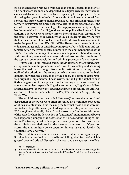books that had been removed from Croatian public libraries in the 1990s. The books were scanned and deposited in a digital archive; they then became available on a website established especially for the project. In Croatia during the 1990s, hundreds of thousands of books were removed from schools and factories, from public, specialized, and private libraries, from former Yugoslav People's Army centres, socio-political organizations, and elsewhere because of their ideologically inappropriate content, the alphabet they used (Serbian Cyrillic), or the ethnic or political background of the authors. The books were mostly thrown into rubbish bins, discarded on the street, destroyed, or recycled. What Lešaja's research clearly shows is that the destruction of the books – as well as the destruction of monuments to the People's Liberation War (World War II) – was not the result of individuals running amok, as official accounts preach, but a deliberate and systematic action that symbolically summarizes the dominant politics of the 1990s, in which war, rampant nationalism, and phrases about democracy and sovereignty were used as a rhetorical cloak to cover the nakedness of the capitalist counter-revolution and criminal processes of dispossession.

*Written-off: On the Occasion of the 20th Anniversary of Operation Storm* set up scanners in the gallery, initiated a call for collecting and scanning books that had been expunged from public institutions in the 1990s, and outlined the criteria for the collection, which corresponded to the basic domains in which the destruction of the books, as a form of censorship, was originally implemented: books written in the Cyrillic alphabet or in Serbian regardless of the alphabet; books forming a corpus of knowledge about communism, especially Yugoslav communism, Yugoslav socialism, and the history of the workers' struggle; and books presenting the anti-Fascist and revolutionary character of the People's Liberation Struggle during World War II.

The exhibition/action was called *Written-off* because the removal and destruction of the books were often presented as a legitimate procedure of library maintenance, thus masking the fact that these books were unwanted, ideologically unacceptable, dangerous, harmful, unnecessary, etc. *Written-off* unequivocally placed "book destruction" in the social context of the period, when the destruction of "unwanted" monuments and books was happening alongside the destruction of homes and the killing of "unwanted" citizens, outside of and prior to war operations. For this reason, the exhibition was dedicated to the twentieth anniversary of Operation Storm, the final military/police operation in what is called, locally, the Croatian Homeland War.**<sup>19</sup>**

The exhibition was intended as a concrete intervention against a political logic that resulted in mass exile and killing, the history of which is glossed over and critical discussion silenced, and also against the official

vijeće, Zagreb, 2012.

<sup>19</sup> Known internationally as the Croatian War of Independence, the war was fought between Croatian forces and the Serb-controlled Yugoslav People's Army from 1991 to 1995.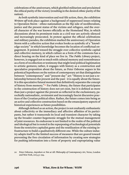celebrations of the anniversary, which glorified militarism and proclaimed the ethical purity of the victory (resulting in the desired *ethnic* purity of the nation).

As both symbolic intervention and real-life action, then, the exhibition *Written-off* took place against a background of suppressed issues relating to Operation Storm – ethno-nationalism as the flip side of neoliberalism, justice and the present status of the victims and refugees, and the overall character of the war known officially as the Homeland War, in which discussions about its prominent traits as a civil war are actively silenced and increasingly prosecuted. In protest against the official celebrations and military parades, the exhibition marked the anniversary of Operation Storm with a collective action that evokes books as symbolic of a "knowledge society" in which knowledge becomes the location of conflictual engagement. It pointed toward the struggle over collective symbolic capital and collective memory, in which culture as a form of the commons has a direct bearing on the kind of place we live in. The *Public Library* project, however, is engaged not so much with cultural memory and remembrance as a form of recollection or testimony that might lend political legitimation to artistic gestures; rather, it engages with history as a construction and speculative proposition about the future, as Peter Osborne argues in his polemical hypotheses on the notion of contemporary art that distinguishes between "contemporary" and "present-day" art: "History is not just a relationship between the present and the past – it is equally about the future. It is this speculative futural moment that definitively separates the concept of history from memory."**20** For *Public Library*, the future that participates in the construction of history does not yet exist, but it is defined as more than just a project against the present as reflected in the exclusionary, parochially nationalistic, revisionist and increasingly fascist discursive practices of the Croatian political elites. Rather, the future comes into being as an active and collective construction based on the emancipatory aspects of historical experiences as future possibilities.

Although defined as an action, the project is not exultantly enthusiastic about collectivity or the immediacy and affective affinities of its participants, but rather it transcends its local and transient character by taking up the broader counter-hegemonic struggle for the mutual management of joint resources. Its endeavour is not limited to the realm of the political and ideological but is rooted in the repurposing of technological potentials from the restrictive capitalist game and the reutilization of the existing infrastructure to build a qualitatively different one. While the culture industry adapts itself to the limited success of measures that are geared toward preventing the free circulation of information by creating new strategies for pushing information into a form of property and expropriating value

<sup>20</sup> Peter Osborne, *Anywhere or Not at All: Philosophy of Contemporary Art*, Verso, London and New York, 2013, p. 194.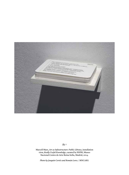

*fig. 1*

Marcell Mars, *Art as Infrastructure: Public Library*, installation view, *Really Useful Knowledge*, curated by WHW, Museo Nacional Centro de Arte Reina Sofía, Madrid, 2014.

*Photo by Joaquín Cortés and Román Lores / MNCARS.*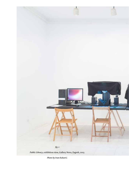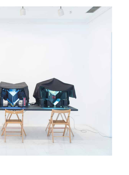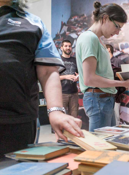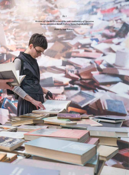*Written-off: On the Occasion of the 20th Anniversary of Operation Storm*, exhibition detail, Gallery Nova, Zagreb, 2015.

*Photo by Ivan Kuharić.*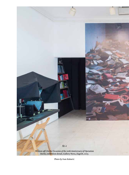

*Photo by Ivan Kuharić.*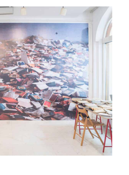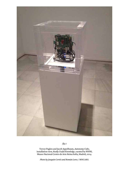

*fig. 5*

Trevor Paglen and Jacob Appelbaum, *Autonomy Cube*, installation view, *Really Useful Knowledge*, curated by WHW, Museo Nacional Centro de Arte Reina Sofía, Madrid, 2014.

*Photo by Joaquín Cortés and Román Lores / MNCARS.*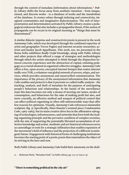through the control of metadata (information about information),**21** *Public Library* shifts the focus away from aesthetic intention – from unique, closed, and discrete works – to a database of works and the metabolism of the database. It creates values through indexing and connectivity, imagined communities and imaginative dialecticization. The web of interpenetration and determination activated by *Public Library* creates a pedagogical endeavour that also includes a propagandist thrust, if the notion of propaganda can be recast in its original meaning as "things that must be disseminated".

A similar didactic impetus and constructivist praxis is present in the work *Autonomy Cube*, which was developed through the combined expertise of artist and geographer Trevor Paglen and internet security researcher, activist and hacker Jacob Appelbaum. This work, too, we presented in the Reina Sofía exhibition *Really Useful Knowledge*, along with *Public Library* and other projects that offered a range of strategies and methodologies through which the artists attempted to think through the disjunction between concrete experience and the abstraction of capital, enlisting pedagogy as a crucial element in organized collective struggles. *Autonomy Cube* offers a free, open-access, encrypted internet hotspot that routes internet traffic over TOR, a volunteer-run global network of servers, relays, and services, which provides anonymous and unsurveilled communication. The importance of the privacy of the anonymized information that *Autonomy Cube* enables and protects is that it prevents so-called traffic analysis – the tracking, analysis, and theft of metadata for the purpose of anticipating people's behaviour and relationships. In the hands of the surveillance state this data becomes not only a means of steering our tastes, modes of consumption, and behaviours for the sake of making profit but also, and more crucially, an effective method and weapon of political control that can affect political organizing in often still-unforeseeable ways that offer few reasons for optimism. Visually, *Autonomy Cube* references minimalist sculpture (fig. 5) (specifically, Hans Haacke's seminal piece *Condensation Cube*, 1963–1965), but its main creative drive lies in the affirmative salvaging of technologies, infrastructures, and networks that form both the leading organizing principle and the pervasive condition of complex societies, with the aim of supporting the potentially liberated accumulation of collective knowledge and action. Aesthetic and art-historical references serve as camouflage or tools for a strategic infiltration that enables expansion of the movement's field of influence and the projection of a different (contingent) future. Engagement with historical forms of challenging institutions becomes the starting point of a poetic praxis that materializes the object of its striving in the here and now.

Both *Public Library* and *Autonomy Cube* build their autonomy on the dedi-

21 McKenzie Wark, "Metadata Punk", in *Public Library*, pp. 113–117 (see n. 9).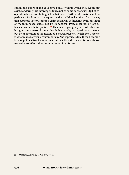cation and effort of the collective body, without which they would not exist, rendering this interdependence not as some consensual idyll of cooperation but as conflicting fields that create further information and experiences. By doing so, they question the traditional edifice of art in a way that supports Peter Osborne's claim that art is defined not by its aesthetic or medium-based status, but by its poetics: "Postconceptual art articulates a post-aesthetic poetics."**22** This means going beyond criticality and bringing into the world something defined not by its opposition to the real, but by its creation of the fiction of a shared present, which, for Osborne, is what makes art truly contemporary. And if projects like these become a kind of political trophy for art institutions, the side the institutions choose nevertheless affects the common sense of our future.

<sup>22</sup> Osborne, *Anywhere or Not at All*, p. 33.